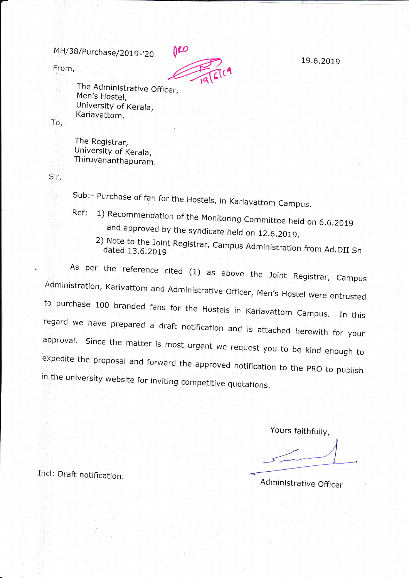From,



The Administrative Officer, Men's Hostel, University of Kerala, Kariavattom.

To,

The Registrar, University of Kerala, Thiruvananthapuram.

Sir,

Sub:- Purchase of fan for the Hostels, in Kariavattom Campus.

- Ref: 1) Recommendation of the Monitoring Committee held on 6.6.2019<br>and approved by the syndicate held on 12.6.2019.
	- 2) Note to the Joint Registrar, Campus Administration from Ad.DII Sn

As per the reference cited (1) as above the Joint Registrar, Campus<br>Administration, Karivattom and Administrative Officer, Men's Hostel were entrusted to purchase 100 branded fans for the Hostels in Kariavattom Campus. In this<br>regard we have prepared a draft notification and is attached herewith for your<br>approval. Since the matter is most urgent we request you to be kind in the university website for inviting competitive quotations.

Yours faithfully,

Incl: Draft notification,

Administrative Officer